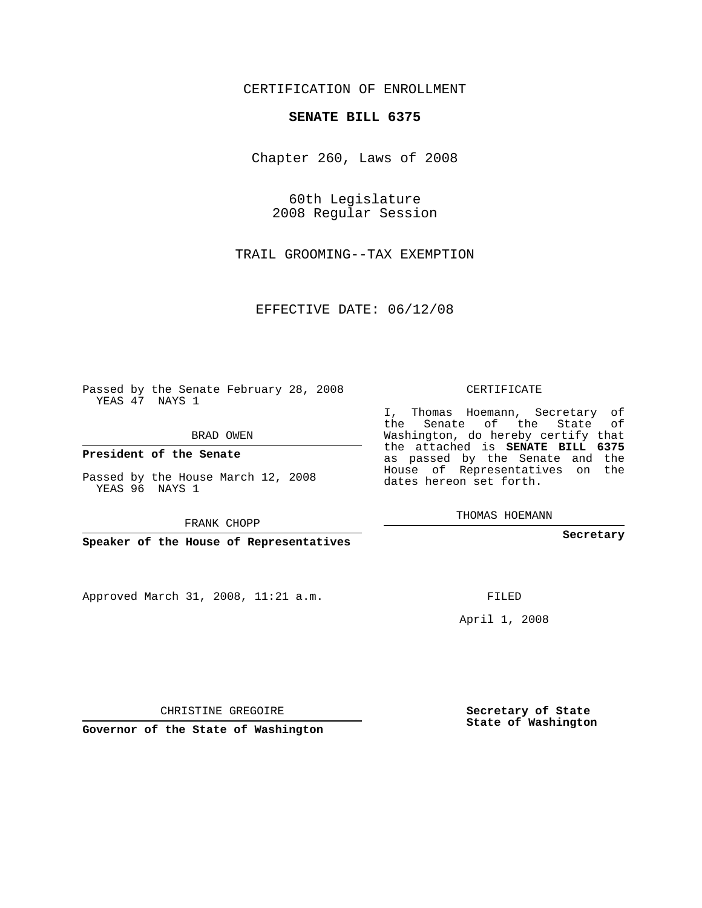CERTIFICATION OF ENROLLMENT

## **SENATE BILL 6375**

Chapter 260, Laws of 2008

60th Legislature 2008 Regular Session

TRAIL GROOMING--TAX EXEMPTION

EFFECTIVE DATE: 06/12/08

Passed by the Senate February 28, 2008 YEAS 47 NAYS 1

BRAD OWEN

**President of the Senate**

Passed by the House March 12, 2008 YEAS 96 NAYS 1

FRANK CHOPP

**Speaker of the House of Representatives**

Approved March 31, 2008, 11:21 a.m.

CERTIFICATE

I, Thomas Hoemann, Secretary of the Senate of the State of Washington, do hereby certify that the attached is **SENATE BILL 6375** as passed by the Senate and the House of Representatives on the dates hereon set forth.

THOMAS HOEMANN

**Secretary**

FILED

April 1, 2008

**Secretary of State State of Washington**

CHRISTINE GREGOIRE

**Governor of the State of Washington**